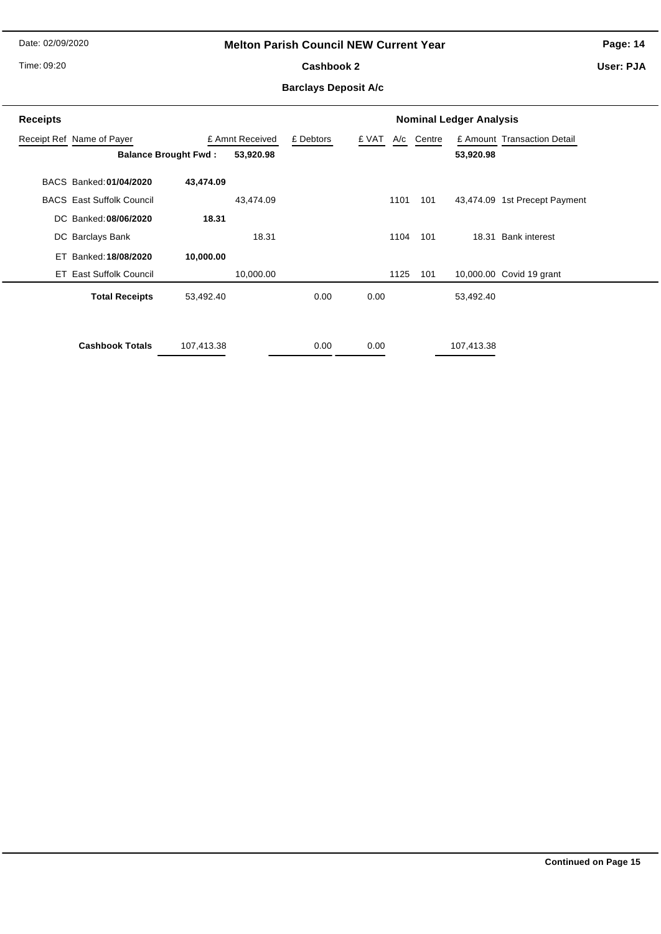Date: 02/09/2020

## **Melton Parish Council NEW Current Year**

**Page: 14**

Time: 09:20

# Cashbook 2

**User: PJA**

## **Barclays Deposit A/c**

| <b>Receipts</b> | <b>Nominal Ledger Analysis</b>   |                             |                 |           |       |      |            |            |                               |
|-----------------|----------------------------------|-----------------------------|-----------------|-----------|-------|------|------------|------------|-------------------------------|
|                 | Receipt Ref Name of Payer        |                             | £ Amnt Received | £ Debtors | £ VAT |      | A/c Centre |            | £ Amount Transaction Detail   |
|                 |                                  | <b>Balance Brought Fwd:</b> | 53,920.98       |           |       |      |            | 53,920.98  |                               |
|                 | BACS Banked: 01/04/2020          | 43,474.09                   |                 |           |       |      |            |            |                               |
|                 | <b>BACS</b> East Suffolk Council |                             | 43,474.09       |           |       | 1101 | 101        |            | 43,474.09 1st Precept Payment |
|                 | DC Banked: 08/06/2020            | 18.31                       |                 |           |       |      |            |            |                               |
|                 | DC Barclays Bank                 |                             | 18.31           |           |       | 1104 | 101        |            | 18.31 Bank interest           |
| ET              | Banked: 18/08/2020               | 10,000.00                   |                 |           |       |      |            |            |                               |
|                 | <b>ET East Suffolk Council</b>   |                             | 10,000.00       |           |       | 1125 | 101        |            | 10,000.00 Covid 19 grant      |
|                 | <b>Total Receipts</b>            | 53,492.40                   |                 | 0.00      | 0.00  |      |            | 53,492.40  |                               |
|                 |                                  |                             |                 |           |       |      |            |            |                               |
|                 | <b>Cashbook Totals</b>           | 107,413.38                  |                 | 0.00      | 0.00  |      |            | 107,413.38 |                               |